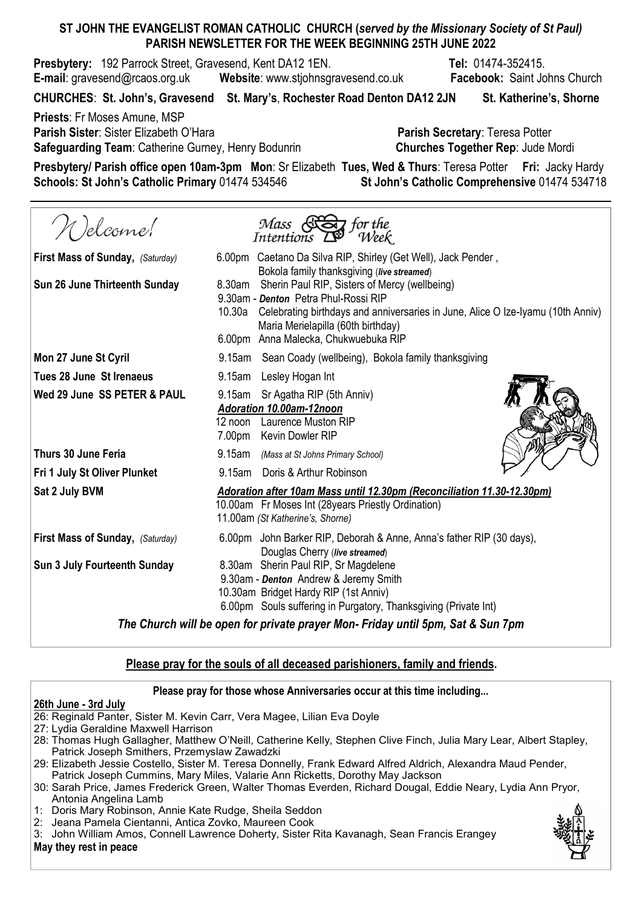## ST JOHN THE EVANGELIST ROMAN CATHOLIC CHURCH (served by the Missionary Society of St Paul) PARISH NEWSLETTER FOR THE WEEK BEGINNING 25TH JUNE 2022

**Presbytery:** 192 Parrock Street, Gravesend, Kent DA12 1EN. The State March 19474-352415. E-mail: gravesend@rcaos.org.uk Website: www.stjohnsgravesend.co.uk Facebook: Saint Johns Church

CHURCHES: St. John's, Gravesend St. Mary's, Rochester Road Denton DA12 2JN St. Katherine's, Shorne

Priests: Fr Moses Amune, MSP Parish Sister: Sister Elizabeth O'Hara **Parish Secretary: Teresa Potter** Parish Secretary: Teresa Potter Safeguarding Team: Catherine Gurney, Henry Bodunrin Churches Together Rep: Jude Mordi

Presbytery/ Parish office open 10am-3pm Mon: Sr Elizabeth Tues, Wed & Thurs: Teresa Potter Fri: Jacky Hardy Schools: St John's Catholic Primary 01474 534546 St John's Catholic Comprehensive 01474 534718

Nelcome!  $\frac{1}{2}$  for the  $Mass$ Intentions Week First Mass of Sunday, (Saturday) 6.00pm Caetano Da Silva RIP, Shirley (Get Well), Jack Pender, Bokola family thanksgiving (live streamed) Sun 26 June Thirteenth Sunday 8.30am Sherin Paul RIP, Sisters of Mercy (wellbeing) 9.30am - Denton Petra Phul-Rossi RIP 10.30a Celebrating birthdays and anniversaries in June, Alice O Ize-Iyamu (10th Anniv) Maria Merielapilla (60th birthday) 6.00pm Anna Malecka, Chukwuebuka RIP Mon 27 June St Cyril **9.15am** Sean Coady (wellbeing), Bokola family thanksgiving Tues 28 June St Irenaeus **9.15am** Lesley Hogan Int Wed 29 June SS PETER & PAUL 9.15am Sr Agatha RIP (5th Anniv) Adoration 10.00am-12noon 12 noon Laurence Muston RIP 7.00pm Kevin Dowler RIP Thurs 30 June Feria **19th** 9.15am (Mass at St Johns Primary School) Fri 1 July St Oliver Plunket<br>Sat 2 July BVM 9.15am Doris & Arthur Robinson Adoration after 10am Mass until 12.30pm (Reconciliation 11.30-12.30pm) 10.00am Fr Moses Int (28years Priestly Ordination) 11.00am (St Katherine's, Shorne) First Mass of Sunday,  $(Saturdav)$  6.00pm John Barker RIP, Deborah & Anne, Anna's father RIP (30 days), Douglas Cherry (live streamed) Sun 3 July Fourteenth Sunday 8.30am Sherin Paul RIP, Sr Magdelene 9.30am - Denton Andrew & Jeremy Smith 10.30am Bridget Hardy RIP (1st Anniv) 6.00pm Souls suffering in Purgatory, Thanksgiving (Private Int)

The Church will be open for private prayer Mon- Friday until 5pm, Sat & Sun 7pm

## Please pray for the souls of all deceased parishioners, family and friends.

## Please pray for those whose Anniversaries occur at this time including...

## 26th June - 3rd July

- 26: Reginald Panter, Sister M. Kevin Carr, Vera Magee, Lilian Eva Doyle
- 27: Lydia Geraldine Maxwell Harrison
- 28: Thomas Hugh Gallagher, Matthew O'Neill, Catherine Kelly, Stephen Clive Finch, Julia Mary Lear, Albert Stapley, Patrick Joseph Smithers, Przemyslaw Zawadzki
- 29: Elizabeth Jessie Costello, Sister M. Teresa Donnelly, Frank Edward Alfred Aldrich, Alexandra Maud Pender,
- Patrick Joseph Cummins, Mary Miles, Valarie Ann Ricketts, Dorothy May Jackson
- 30: Sarah Price, James Frederick Green, Walter Thomas Everden, Richard Dougal, Eddie Neary, Lydia Ann Pryor, Antonia Angelina Lamb
- 1: Doris Mary Robinson, Annie Kate Rudge, Sheila Seddon
- 2: Jeana Pamela Cientanni, Antica Zovko, Maureen Cook
- 3: John William Amos, Connell Lawrence Doherty, Sister Rita Kavanagh, Sean Francis Erangey May they rest in peace